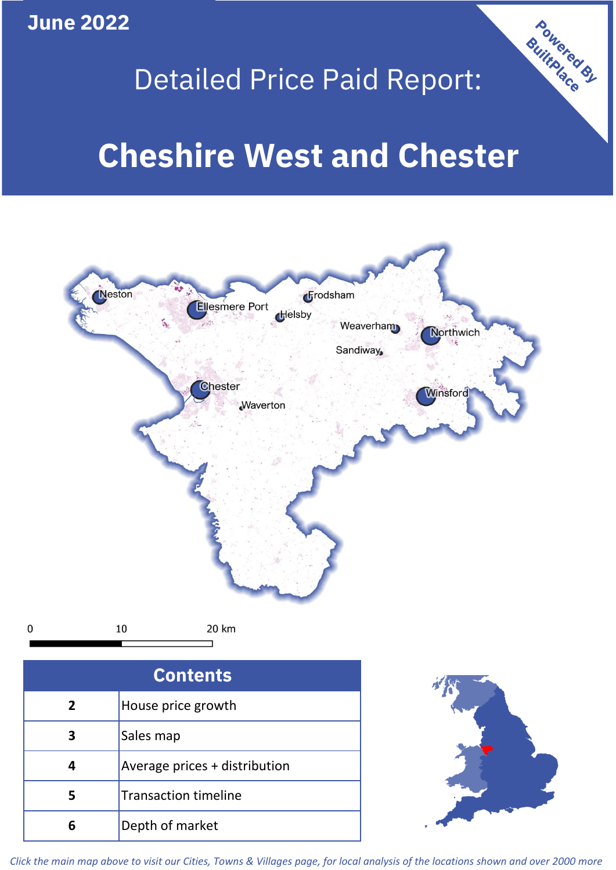

 $\mathbf 0$ 

# Detailed Price Paid Report:

# **Cheshire West and Chester**



| Sales map                     |
|-------------------------------|
| Average prices + distribution |
| <b>Transaction timeline</b>   |
| Depth of market               |



Powered By

*Click the main map above to visit our Cities, Towns & Villages page, for local analysis of the locations shown and over 2000 more*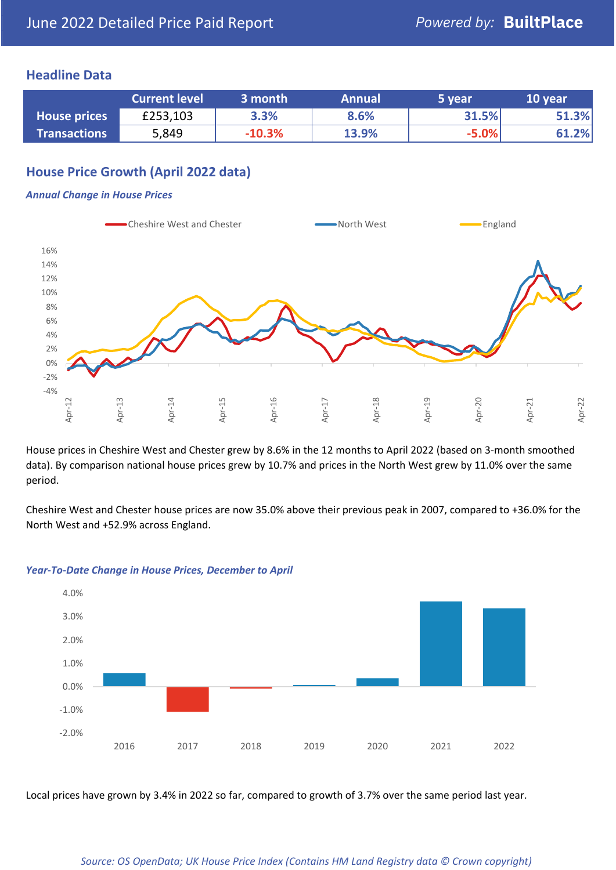### **Headline Data**

|                     | <b>Current level</b> | 3 month  | <b>Annual</b> | 5 year  | 10 year |
|---------------------|----------------------|----------|---------------|---------|---------|
| <b>House prices</b> | £253,103             | 3.3%     | 8.6%          | 31.5%   | 51.3%   |
| <b>Transactions</b> | 5,849                | $-10.3%$ | 13.9%         | $-5.0%$ | 61.2%   |

## **House Price Growth (April 2022 data)**

#### *Annual Change in House Prices*



House prices in Cheshire West and Chester grew by 8.6% in the 12 months to April 2022 (based on 3-month smoothed data). By comparison national house prices grew by 10.7% and prices in the North West grew by 11.0% over the same period.

Cheshire West and Chester house prices are now 35.0% above their previous peak in 2007, compared to +36.0% for the North West and +52.9% across England.



#### *Year-To-Date Change in House Prices, December to April*

Local prices have grown by 3.4% in 2022 so far, compared to growth of 3.7% over the same period last year.

#### *Source: OS OpenData; UK House Price Index (Contains HM Land Registry data © Crown copyright)*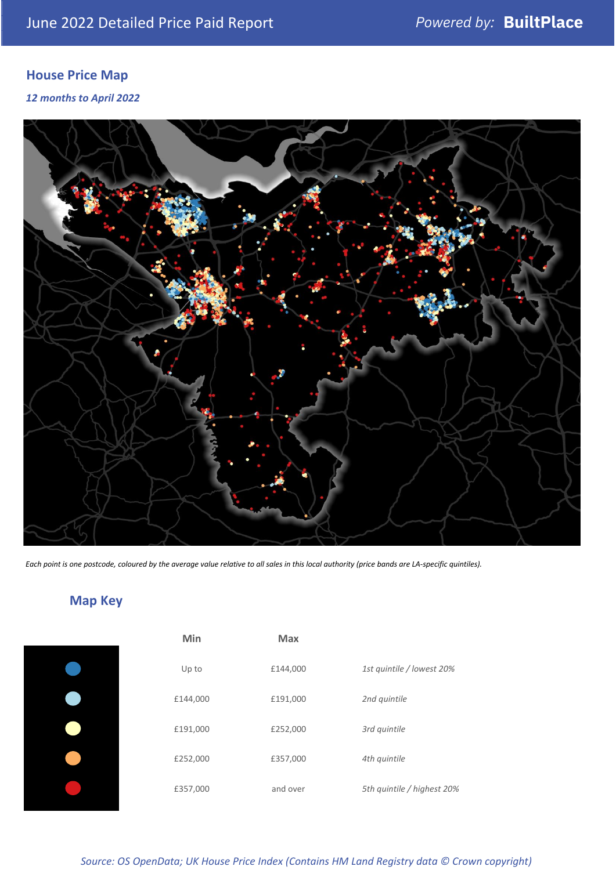# **House Price Map**

*12 months to April 2022*



*Each point is one postcode, coloured by the average value relative to all sales in this local authority (price bands are LA-specific quintiles).*

# **Map Key**

| Min      | <b>Max</b> |                            |
|----------|------------|----------------------------|
| Up to    | £144,000   | 1st quintile / lowest 20%  |
| £144,000 | £191,000   | 2nd quintile               |
| £191,000 | £252,000   | 3rd quintile               |
| £252,000 | £357,000   | 4th quintile               |
| £357,000 | and over   | 5th quintile / highest 20% |

### *Source: OS OpenData; UK House Price Index (Contains HM Land Registry data © Crown copyright)*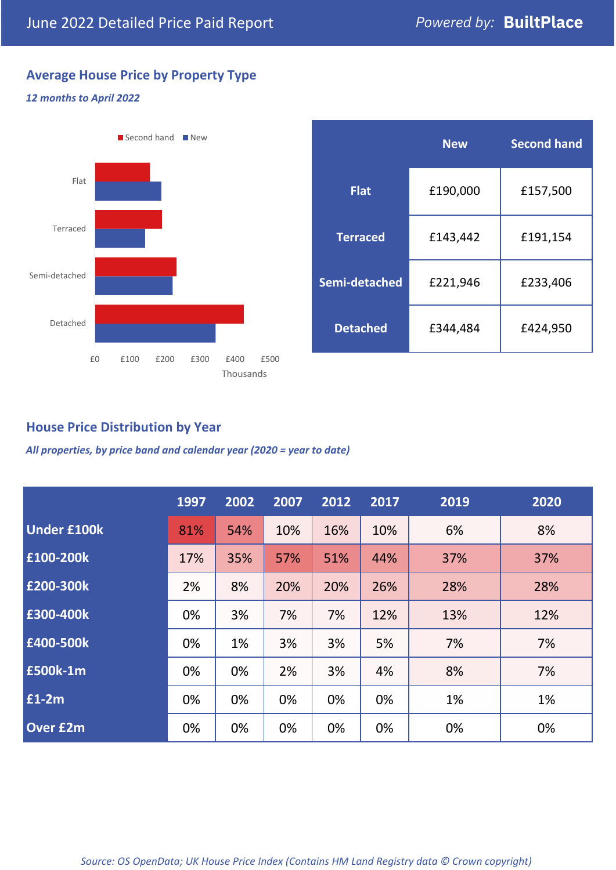# **Average House Price by Property Type**

#### *12 months to April 2022*



|                 | <b>New</b> | <b>Second hand</b> |  |  |
|-----------------|------------|--------------------|--|--|
| <b>Flat</b>     | £190,000   | £157,500           |  |  |
| <b>Terraced</b> | £143,442   | £191,154           |  |  |
| Semi-detached   | £221,946   | £233,406           |  |  |
| <b>Detached</b> | £344,484   | £424,950           |  |  |

## **House Price Distribution by Year**

*All properties, by price band and calendar year (2020 = year to date)*

|                    | 1997 | 2002 | 2007 | 2012 | 2017 | 2019 | 2020 |
|--------------------|------|------|------|------|------|------|------|
| <b>Under £100k</b> | 81%  | 54%  | 10%  | 16%  | 10%  | 6%   | 8%   |
| £100-200k          | 17%  | 35%  | 57%  | 51%  | 44%  | 37%  | 37%  |
| E200-300k          | 2%   | 8%   | 20%  | 20%  | 26%  | 28%  | 28%  |
| £300-400k          | 0%   | 3%   | 7%   | 7%   | 12%  | 13%  | 12%  |
| £400-500k          | 0%   | 1%   | 3%   | 3%   | 5%   | 7%   | 7%   |
| £500k-1m           | 0%   | 0%   | 2%   | 3%   | 4%   | 8%   | 7%   |
| £1-2m              | 0%   | 0%   | 0%   | 0%   | 0%   | 1%   | 1%   |
| <b>Over £2m</b>    | 0%   | 0%   | 0%   | 0%   | 0%   | 0%   | 0%   |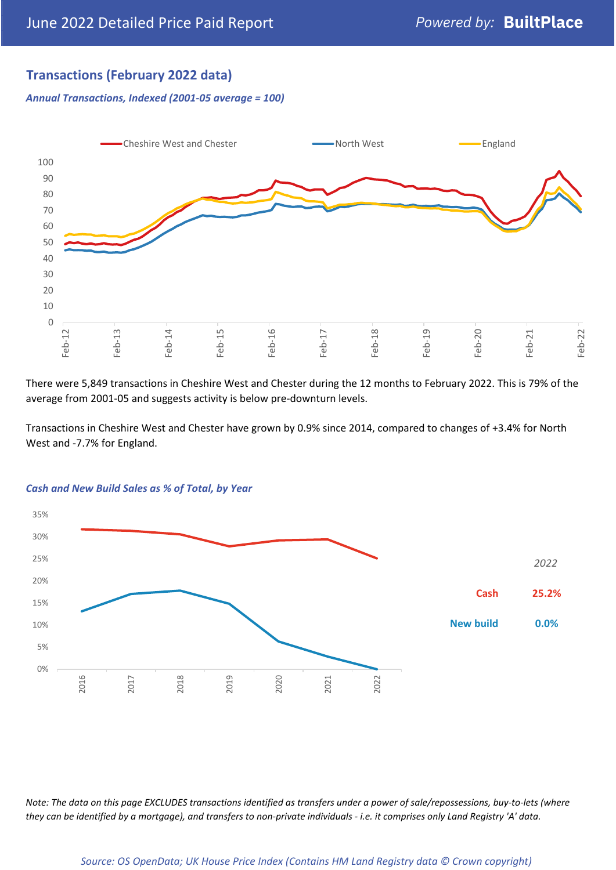## **Transactions (February 2022 data)**

*Annual Transactions, Indexed (2001-05 average = 100)*



There were 5,849 transactions in Cheshire West and Chester during the 12 months to February 2022. This is 79% of the average from 2001-05 and suggests activity is below pre-downturn levels.

Transactions in Cheshire West and Chester have grown by 0.9% since 2014, compared to changes of +3.4% for North West and -7.7% for England.



#### *Cash and New Build Sales as % of Total, by Year*

*Note: The data on this page EXCLUDES transactions identified as transfers under a power of sale/repossessions, buy-to-lets (where they can be identified by a mortgage), and transfers to non-private individuals - i.e. it comprises only Land Registry 'A' data.*